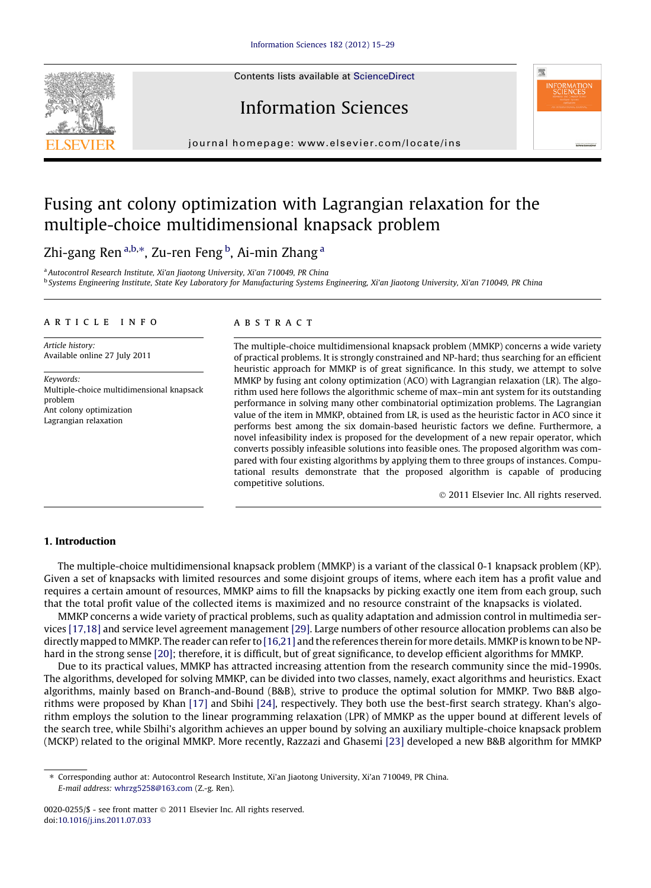Contents lists available at [ScienceDirect](http://www.sciencedirect.com/science/journal/00200255)



# Information Sciences



journal homepage: [www.elsevier.com/locate/ins](http://www.elsevier.com/locate/ins)

# Fusing ant colony optimization with Lagrangian relaxation for the multiple-choice multidimensional knapsack problem

Zhi-gang Ren<sup>a,b,</sup>\*, Zu-ren Feng <sup>b</sup>, Ai-min Zhang <sup>a</sup>

<sup>a</sup> Autocontrol Research Institute, Xi'an Jiaotong University, Xi'an 710049, PR China <sup>b</sup> Systems Engineering Institute, State Key Laboratory for Manufacturing Systems Engineering, Xi'an Jiaotong University, Xi'an 710049, PR China

#### article info

Article history: Available online 27 July 2011

Keywords: Multiple-choice multidimensional knapsack problem Ant colony optimization Lagrangian relaxation

## ABSTRACT

The multiple-choice multidimensional knapsack problem (MMKP) concerns a wide variety of practical problems. It is strongly constrained and NP-hard; thus searching for an efficient heuristic approach for MMKP is of great significance. In this study, we attempt to solve MMKP by fusing ant colony optimization (ACO) with Lagrangian relaxation (LR). The algorithm used here follows the algorithmic scheme of max–min ant system for its outstanding performance in solving many other combinatorial optimization problems. The Lagrangian value of the item in MMKP, obtained from LR, is used as the heuristic factor in ACO since it performs best among the six domain-based heuristic factors we define. Furthermore, a novel infeasibility index is proposed for the development of a new repair operator, which converts possibly infeasible solutions into feasible ones. The proposed algorithm was compared with four existing algorithms by applying them to three groups of instances. Computational results demonstrate that the proposed algorithm is capable of producing competitive solutions.

- 2011 Elsevier Inc. All rights reserved.

### 1. Introduction

The multiple-choice multidimensional knapsack problem (MMKP) is a variant of the classical 0-1 knapsack problem (KP). Given a set of knapsacks with limited resources and some disjoint groups of items, where each item has a profit value and requires a certain amount of resources, MMKP aims to fill the knapsacks by picking exactly one item from each group, such that the total profit value of the collected items is maximized and no resource constraint of the knapsacks is violated.

MMKP concerns a wide variety of practical problems, such as quality adaptation and admission control in multimedia services [\[17,18\]](#page--1-0) and service level agreement management [\[29\]](#page--1-0). Large numbers of other resource allocation problems can also be directly mapped to MMKP. The reader can refer to [\[16,21\]](#page--1-0) and the references therein for more details. MMKP is known to be NPhard in the strong sense [\[20\]](#page--1-0); therefore, it is difficult, but of great significance, to develop efficient algorithms for MMKP.

Due to its practical values, MMKP has attracted increasing attention from the research community since the mid-1990s. The algorithms, developed for solving MMKP, can be divided into two classes, namely, exact algorithms and heuristics. Exact algorithms, mainly based on Branch-and-Bound (B&B), strive to produce the optimal solution for MMKP. Two B&B algorithms were proposed by Khan [\[17\]](#page--1-0) and Sbihi [\[24\]](#page--1-0), respectively. They both use the best-first search strategy. Khan's algorithm employs the solution to the linear programming relaxation (LPR) of MMKP as the upper bound at different levels of the search tree, while Sbilhi's algorithm achieves an upper bound by solving an auxiliary multiple-choice knapsack problem (MCKP) related to the original MMKP. More recently, Razzazi and Ghasemi [\[23\]](#page--1-0) developed a new B&B algorithm for MMKP

<sup>⇑</sup> Corresponding author at: Autocontrol Research Institute, Xi'an Jiaotong University, Xi'an 710049, PR China. E-mail address: [whrzg5258@163.com](mailto:whrzg5258@163.com) (Z.-g. Ren).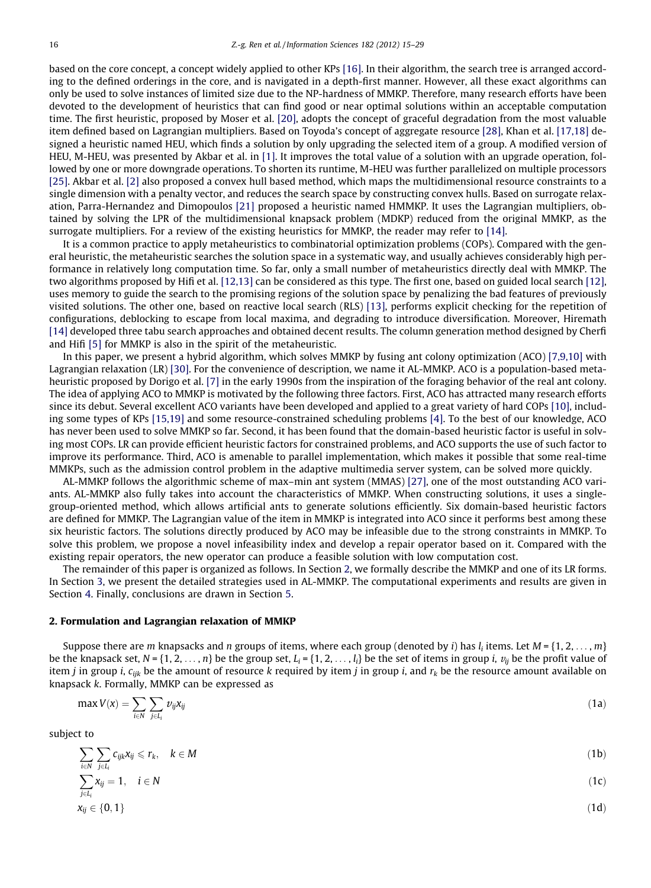based on the core concept, a concept widely applied to other KPs [\[16\]](#page--1-0). In their algorithm, the search tree is arranged according to the defined orderings in the core, and is navigated in a depth-first manner. However, all these exact algorithms can only be used to solve instances of limited size due to the NP-hardness of MMKP. Therefore, many research efforts have been devoted to the development of heuristics that can find good or near optimal solutions within an acceptable computation time. The first heuristic, proposed by Moser et al. [\[20\],](#page--1-0) adopts the concept of graceful degradation from the most valuable item defined based on Lagrangian multipliers. Based on Toyoda's concept of aggregate resource [\[28\]](#page--1-0), Khan et al. [\[17,18\]](#page--1-0) designed a heuristic named HEU, which finds a solution by only upgrading the selected item of a group. A modified version of HEU, M-HEU, was presented by Akbar et al. in [\[1\]](#page--1-0). It improves the total value of a solution with an upgrade operation, followed by one or more downgrade operations. To shorten its runtime, M-HEU was further parallelized on multiple processors [\[25\].](#page--1-0) Akbar et al. [\[2\]](#page--1-0) also proposed a convex hull based method, which maps the multidimensional resource constraints to a single dimension with a penalty vector, and reduces the search space by constructing convex hulls. Based on surrogate relaxation, Parra-Hernandez and Dimopoulos [\[21\]](#page--1-0) proposed a heuristic named HMMKP. It uses the Lagrangian multipliers, obtained by solving the LPR of the multidimensional knapsack problem (MDKP) reduced from the original MMKP, as the surrogate multipliers. For a review of the existing heuristics for MMKP, the reader may refer to [\[14\].](#page--1-0)

It is a common practice to apply metaheuristics to combinatorial optimization problems (COPs). Compared with the general heuristic, the metaheuristic searches the solution space in a systematic way, and usually achieves considerably high performance in relatively long computation time. So far, only a small number of metaheuristics directly deal with MMKP. The two algorithms proposed by Hifi et al. [\[12,13\]](#page--1-0) can be considered as this type. The first one, based on guided local search [\[12\],](#page--1-0) uses memory to guide the search to the promising regions of the solution space by penalizing the bad features of previously visited solutions. The other one, based on reactive local search (RLS) [\[13\]](#page--1-0), performs explicit checking for the repetition of configurations, deblocking to escape from local maxima, and degrading to introduce diversification. Moreover, Hiremath [\[14\]](#page--1-0) developed three tabu search approaches and obtained decent results. The column generation method designed by Cherfi and Hifi [\[5\]](#page--1-0) for MMKP is also in the spirit of the metaheuristic.

In this paper, we present a hybrid algorithm, which solves MMKP by fusing ant colony optimization (ACO) [\[7,9,10\]](#page--1-0) with Lagrangian relaxation (LR) [\[30\]](#page--1-0). For the convenience of description, we name it AL-MMKP. ACO is a population-based metaheuristic proposed by Dorigo et al. [\[7\]](#page--1-0) in the early 1990s from the inspiration of the foraging behavior of the real ant colony. The idea of applying ACO to MMKP is motivated by the following three factors. First, ACO has attracted many research efforts since its debut. Several excellent ACO variants have been developed and applied to a great variety of hard COPs [\[10\]](#page--1-0), including some types of KPs [\[15,19\]](#page--1-0) and some resource-constrained scheduling problems [\[4\].](#page--1-0) To the best of our knowledge, ACO has never been used to solve MMKP so far. Second, it has been found that the domain-based heuristic factor is useful in solving most COPs. LR can provide efficient heuristic factors for constrained problems, and ACO supports the use of such factor to improve its performance. Third, ACO is amenable to parallel implementation, which makes it possible that some real-time MMKPs, such as the admission control problem in the adaptive multimedia server system, can be solved more quickly.

AL-MMKP follows the algorithmic scheme of max–min ant system (MMAS) [\[27\],](#page--1-0) one of the most outstanding ACO variants. AL-MMKP also fully takes into account the characteristics of MMKP. When constructing solutions, it uses a singlegroup-oriented method, which allows artificial ants to generate solutions efficiently. Six domain-based heuristic factors are defined for MMKP. The Lagrangian value of the item in MMKP is integrated into ACO since it performs best among these six heuristic factors. The solutions directly produced by ACO may be infeasible due to the strong constraints in MMKP. To solve this problem, we propose a novel infeasibility index and develop a repair operator based on it. Compared with the existing repair operators, the new operator can produce a feasible solution with low computation cost.

The remainder of this paper is organized as follows. In Section 2, we formally describe the MMKP and one of its LR forms. In Section 3, we present the detailed strategies used in AL-MMKP. The computational experiments and results are given in Section 4. Finally, conclusions are drawn in Section 5.

### 2. Formulation and Lagrangian relaxation of MMKP

Suppose there are m knapsacks and n groups of items, where each group (denoted by i) has  $l_i$  items. Let  $M = \{1, 2, ..., m\}$ be the knapsack set,  $N = \{1, 2, \ldots, n\}$  be the group set,  $L_i = \{1, 2, \ldots, l_i\}$  be the set of items in group i,  $v_{ii}$  be the profit value of item j in group i,  $c_{ijk}$  be the amount of resource k required by item j in group i, and  $r_k$  be the resource amount available on knapsack k. Formally, MMKP can be expressed as

$$
\max V(x) = \sum_{i \in N} \sum_{j \in L_i} v_{ij} x_{ij} \tag{1a}
$$

subject to

$$
\sum_{i \in N} \sum_{j \in L_i} c_{ijk} x_{ij} \leqslant r_k, \quad k \in M
$$
\n
$$
\sum_{i \in N} x_{ij} = 1, \quad i \in N
$$
\n
$$
(10)
$$

$$
\sum_{j\in L_i} x_{ij} \in \{0,1\}
$$
\n
$$
(1d)
$$